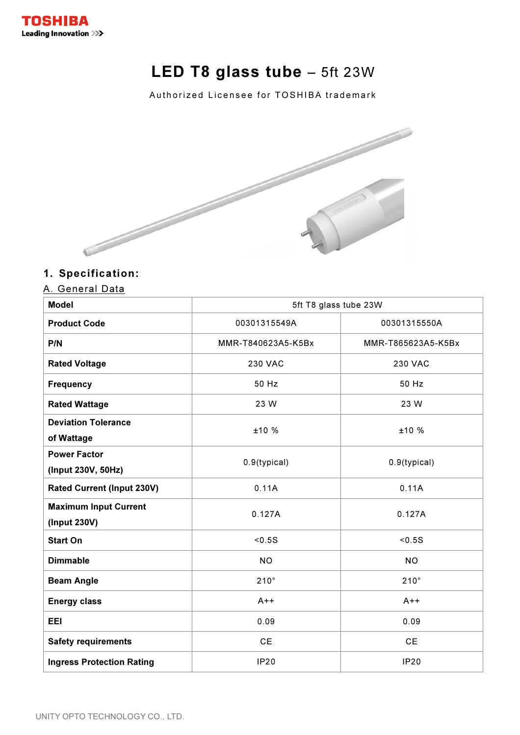

# LED T8 glass tube - 5ft 23W

Authorized Licensee for TOSHIBA trademark



## 1. Specification:

## A. General Data

| <b>Model</b>                                 | 5ft T8 glass tube 23W            |                    |  |
|----------------------------------------------|----------------------------------|--------------------|--|
| <b>Product Code</b>                          | 00301315549A                     | 00301315550A       |  |
| P/N                                          | MMR-T840623A5-K5Bx               | MMR-T865623A5-K5Bx |  |
| <b>Rated Voltage</b>                         | <b>230 VAC</b><br><b>230 VAC</b> |                    |  |
| <b>Frequency</b>                             | 50 Hz                            | 50 Hz              |  |
| <b>Rated Wattage</b>                         | 23 W<br>23 W                     |                    |  |
| <b>Deviation Tolerance</b><br>of Wattage     | ±10 %                            | ±10 %              |  |
| <b>Power Factor</b><br>(Input 230V, 50Hz)    | 0.9(typical)                     | 0.9(typical)       |  |
| <b>Rated Current (Input 230V)</b>            | 0.11A                            | 0.11A              |  |
| <b>Maximum Input Current</b><br>(Input 230V) | 0.127A                           | 0.127A             |  |
| <b>Start On</b>                              | < 0.5S                           | < 0.5S             |  |
| <b>Dimmable</b>                              | <b>NO</b>                        | <b>NO</b>          |  |
| <b>Beam Angle</b>                            | $210^\circ$                      | $210^\circ$        |  |
| <b>Energy class</b>                          | $A++$                            | $A++$              |  |
| <b>EEI</b>                                   | 0.09                             | 0.09               |  |
| <b>Safety requirements</b>                   | <b>CE</b>                        | <b>CE</b>          |  |
| <b>Ingress Protection Rating</b>             | <b>IP20</b>                      | <b>IP20</b>        |  |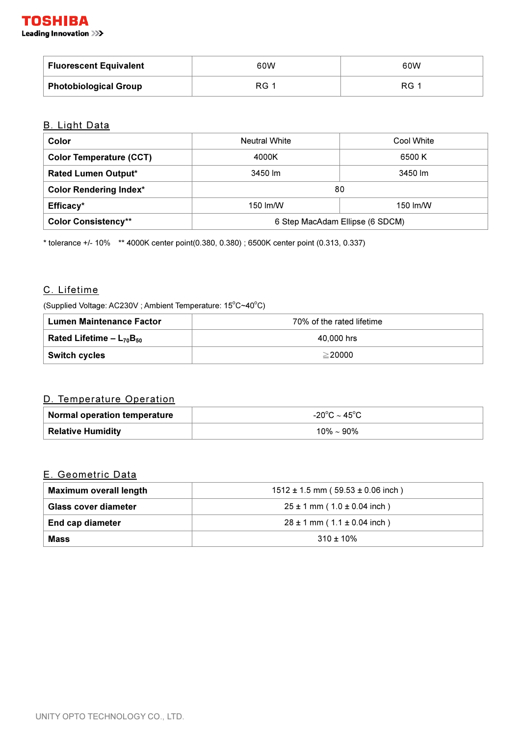| <b>Fluorescent Equivalent</b> | 60W         | 60W         |
|-------------------------------|-------------|-------------|
| <b>Photobiological Group</b>  | <b>RG</b> 1 | <b>RG</b> 1 |

## B. Light Data

| Color                          | <b>Neutral White</b>            | Cool White |
|--------------------------------|---------------------------------|------------|
| <b>Color Temperature (CCT)</b> | 4000K                           | 6500 K     |
| <b>Rated Lumen Output*</b>     | 3450 lm                         | 3450 lm    |
| <b>Color Rendering Index*</b>  | 80                              |            |
| Efficacy*                      | 150 lm/W                        | 150 lm/W   |
| <b>Color Consistency**</b>     | 6 Step MacAdam Ellipse (6 SDCM) |            |

\* tolerance +/- 10% \*\* 4000K center point(0.380, 0.380) ; 6500K center point (0.313, 0.337)

#### C. Lifetime

(Supplied Voltage: AC230V ; Ambient Temperature: 15°C~40°C)

| Lumen Maintenance Factor        | 70% of the rated lifetime |  |
|---------------------------------|---------------------------|--|
| Rated Lifetime – $L_{70}B_{50}$ | 40,000 hrs                |  |
| <b>Switch cycles</b>            | $\geq$ 20000              |  |

## D. Temperature Operation

| Normal operation temperature | -20°C $\sim$ 45°C $^{\circ}$ |
|------------------------------|------------------------------|
| Relative Humidity            | 10% $\sim$ 90%               |

#### E. Geometric Data

| <b>Maximum overall length</b> | $1512 \pm 1.5$ mm ( $59.53 \pm 0.06$ inch) |  |
|-------------------------------|--------------------------------------------|--|
| <b>Glass cover diameter</b>   | $25 \pm 1$ mm ( $1.0 \pm 0.04$ inch )      |  |
| End cap diameter              | $28 \pm 1$ mm (1.1 $\pm$ 0.04 inch)        |  |
| Mass                          | $310 \pm 10\%$                             |  |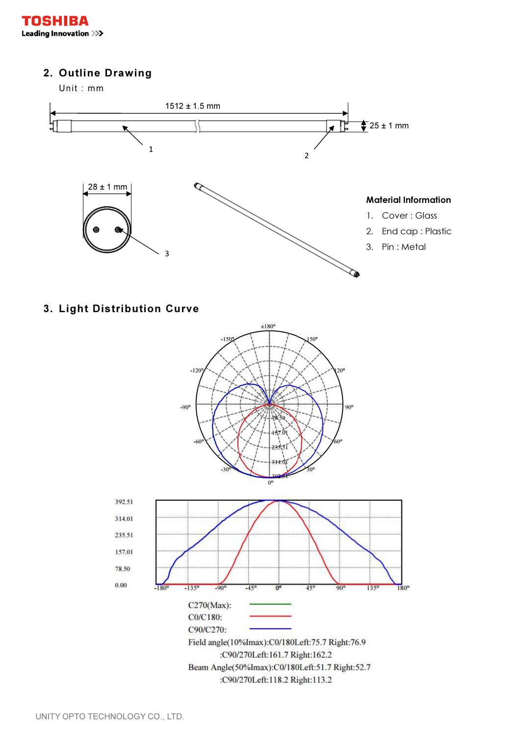## 2. Outline Drawing

Unit : mm



## 3. Light Distribution Curve

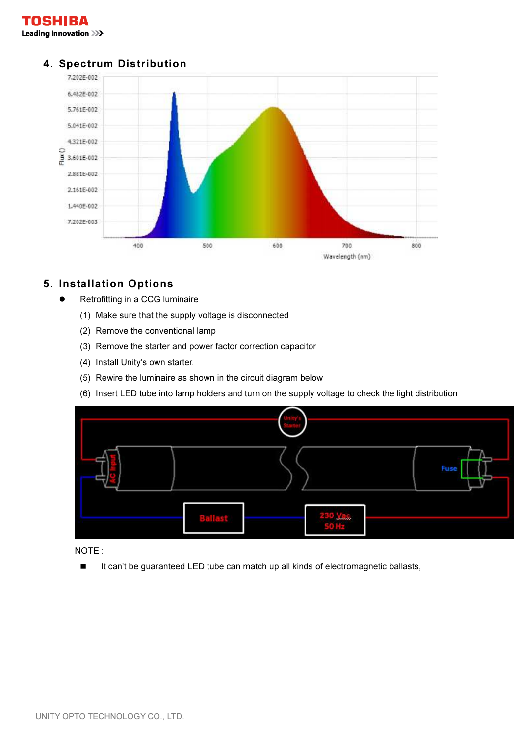



## 4. Spectrum Distribution

## 5. Installation Options

- Retrofitting in a CCG luminaire
	- (1) Make sure that the supply voltage is disconnected
	- (2) Remove the conventional lamp
	- (3) Remove the starter and power factor correction capacitor
	- (4) Install Unity's own starter.
	- (5) Rewire the luminaire as shown in the circuit diagram below
	- (6) Insert LED tube into lamp holders and turn on the supply voltage to check the light distribution



NOTE :

-It can't be guaranteed LED tube can match up all kinds of electromagnetic ballasts,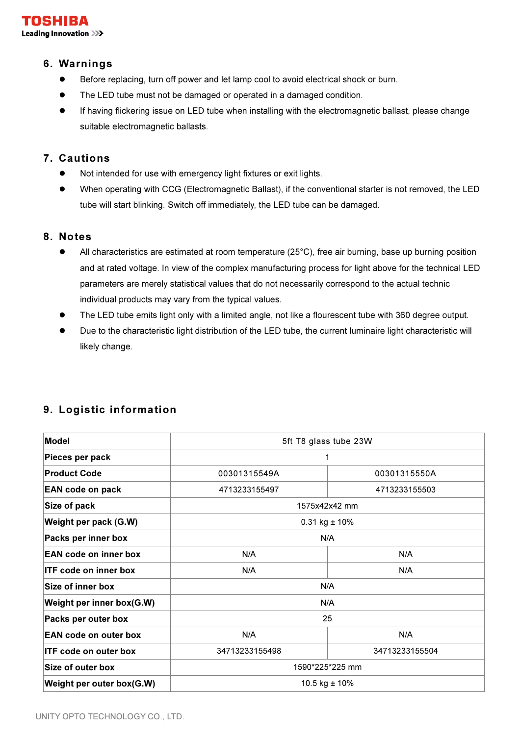

#### 6. Warnings

- Before replacing, turn off power and let lamp cool to avoid electrical shock or burn.
- The LED tube must not be damaged or operated in a damaged condition.
- If having flickering issue on LED tube when installing with the electromagnetic ballast, please change suitable electromagnetic ballasts.

## 7. Cautions

- Not intended for use with emergency light fixtures or exit lights.
- When operating with CCG (Electromagnetic Ballast), if the conventional starter is not removed, the LED tube will start blinking. Switch off immediately, the LED tube can be damaged.

#### 8. Notes

- All characteristics are estimated at room temperature (25°C), free air burning, base up burning position and at rated voltage. In view of the complex manufacturing process for light above for the technical LED parameters are merely statistical values that do not necessarily correspond to the actual technic individual products may vary from the typical values.
- The LED tube emits light only with a limited angle, not like a flourescent tube with 360 degree output.
- Due to the characteristic light distribution of the LED tube, the current luminaire light characteristic will likely change.

| <b>Model</b>                 | 5ft T8 glass tube 23W        |                |
|------------------------------|------------------------------|----------------|
| Pieces per pack              | 1                            |                |
| <b>Product Code</b>          | 00301315549A<br>00301315550A |                |
| <b>EAN code on pack</b>      | 4713233155497                | 4713233155503  |
| Size of pack                 | 1575x42x42 mm                |                |
| Weight per pack (G.W)        | $0.31$ kg $\pm$ 10%          |                |
| Packs per inner box          | N/A                          |                |
| <b>EAN code on inner box</b> | N/A                          | N/A            |
| <b>ITF code on inner box</b> | N/A                          | N/A            |
| <b>Size of inner box</b>     | N/A                          |                |
| Weight per inner box(G.W)    | N/A                          |                |
| Packs per outer box          | 25                           |                |
| <b>EAN code on outer box</b> | N/A                          | N/A            |
| <b>ITF code on outer box</b> | 34713233155498               | 34713233155504 |
| Size of outer box            | 1590*225*225 mm              |                |
| Weight per outer box(G.W)    | 10.5 kg ± 10%                |                |

## 9. Logistic information